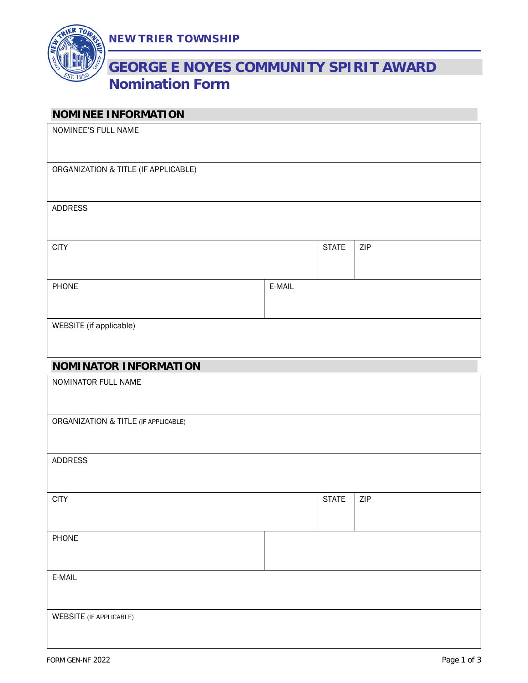

# **GEORGE E NOYES COMMUNITY SPIRIT AWARD Nomination Form**

### **NOMINEE INFORMATION**

| <b>INDIVILIALE TIME DIVIDITION</b>   |        |              |     |
|--------------------------------------|--------|--------------|-----|
| NOMINEE'S FULL NAME                  |        |              |     |
| ORGANIZATION & TITLE (IF APPLICABLE) |        |              |     |
| <b>ADDRESS</b>                       |        |              |     |
| <b>CITY</b>                          |        | <b>STATE</b> | ZIP |
| PHONE                                | E-MAIL |              |     |
| WEBSITE (if applicable)              |        |              |     |
| <b>NOMINATOR INFORMATION</b>         |        |              |     |
| NOMINATOR FULL NAME                  |        |              |     |
| ORGANIZATION & TITLE (IF APPLICABLE) |        |              |     |
| <b>ADDRESS</b>                       |        |              |     |
| <b>CITY</b>                          |        | <b>STATE</b> | ZIP |
| PHONE                                |        |              |     |
| E-MAIL                               |        |              |     |
| <b>WEBSITE</b> (IF APPLICABLE)       |        |              |     |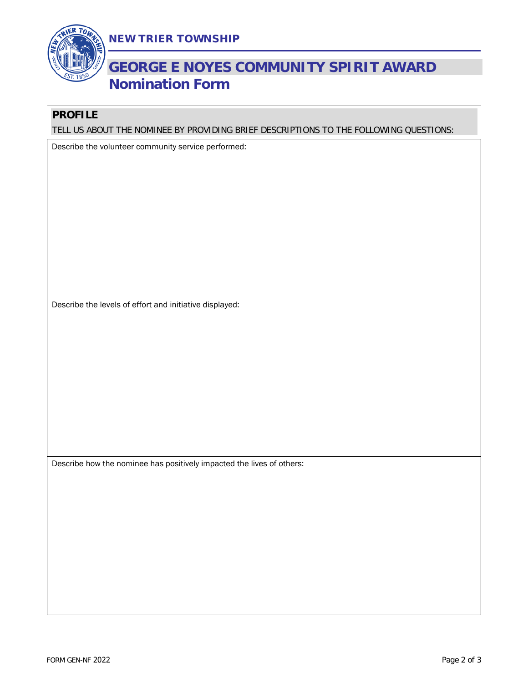



## **GEORGE E NOYES COMMUNITY SPIRIT AWARD Nomination Form**

### **PROFILE**

TELL US ABOUT THE NOMINEE BY PROVIDING BRIEF DESCRIPTIONS TO THE FOLLOWING QUESTIONS:

Describe the volunteer community service performed:

Describe the levels of effort and initiative displayed:

Describe how the nominee has positively impacted the lives of others: